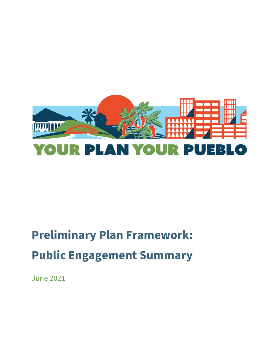

# **Preliminary Plan Framework: Public Engagement Summary**

June 2021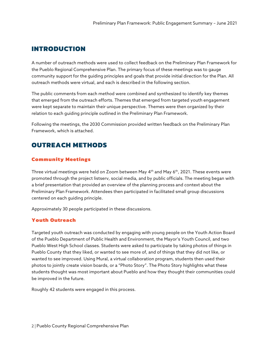# **INTRODUCTION**

A number of outreach methods were used to collect feedback on the Preliminary Plan Framework for the Pueblo Regional Comprehensive Plan. The primary focus of these meetings was to gauge community support for the guiding principles and goals that provide initial direction for the Plan. All outreach methods were virtual, and each is described in the following section.

The public comments from each method were combined and synthesized to identify key themes that emerged from the outreach efforts. Themes that emerged from targeted youth engagement were kept separate to maintain their unique perspective. Themes were then organized by their relation to each guiding principle outlined in the Preliminary Plan Framework.

Following the meetings, the 2030 Commission provided written feedback on the Preliminary Plan Framework, which is attached.

# **OUTREACH METHODS**

# **Community Meetings**

Three virtual meetings were held on Zoom between May 4<sup>th</sup> and May 6<sup>th</sup>, 2021. These events were promoted through the project listserv, social media, and by public officials. The meeting began with a brief presentation that provided an overview of the planning process and context about the Preliminary Plan Framework. Attendees then participated in facilitated small group discussions centered on each guiding principle.

Approximately 30 people participated in these discussions.

# **Youth Outreach**

Targeted youth outreach was conducted by engaging with young people on the Youth Action Board of the Pueblo Department of Public Health and Environment, the Mayor's Youth Council, and two Pueblo West High School classes. Students were asked to participate by taking photos of things in Pueblo County that they liked, or wanted to see more of, and of things that they did not like, or wanted to see improved. Using Mural, a virtual collaboration program, students then used their photos to jointly create vision boards, or a "Photo Story". The Photo Story highlights what these students thought was most important about Pueblo and how they thought their communities could be improved in the future.

Roughly 42 students were engaged in this process.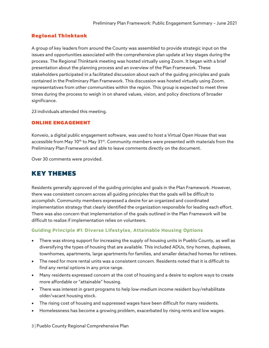# **Regional Thinktank**

A group of key leaders from around the County was assembled to provide strategic input on the issues and opportunities associated with the comprehensive plan update at key stages during the process. The Regional Thinktank meeting was hosted virtually using Zoom. It began with a brief presentation about the planning process and an overview of the Plan Framework. These stakeholders participated in a facilitated discussion about each of the guiding principles and goals contained in the Preliminary Plan Framework. This discussion was hosted virtually using Zoom. representatives from other communities within the region. This group is expected to meet three times during the process to weigh in on shared values, vision, and policy directions of broader significance.

23 individuals attended this meeting.

#### **ONLINE ENGAGEMENT**

Konveio, a digital public engagement software, was used to host a Virtual Open House that was accessible from May  $10^{th}$  to May  $31^{st}$ . Community members were presented with materials from the Preliminary Plan Framework and able to leave comments directly on the document.

Over 30 comments were provided.

# **KEY THEMES**

Residents generally approved of the guiding principles and goals in the Plan Framework. However, there was consistent concern across all guiding principles that the goals will be difficult to accomplish. Community members expressed a desire for an organized and coordinated implementation strategy that clearly identified the organization responsible for leading each effort. There was also concern that implementation of the goals outlined in the Plan Framework will be difficult to realize if implementation relies on volunteers.

#### Guiding Principle #1: Diverse Lifestyles, Attainable Housing Options

- There was strong support for increasing the supply of housing units in Pueblo County, as well as diversifying the types of housing that are available. This included ADUs, tiny homes, duplexes, townhomes, apartments, large apartments for families, and smaller detached homes for retirees.
- The need for more rental units was a consistent concern. Residents noted that it is difficult to find any rental options in any price range.
- Many residents expressed concern at the cost of housing and a desire to explore ways to create more affordable or "attainable" housing.
- There was interest in grant programs to help low-medium income resident buy/rehabilitate older/vacant housing stock.
- The rising cost of housing and suppressed wages have been difficult for many residents.
- Homelessness has become a growing problem, exacerbated by rising rents and low wages.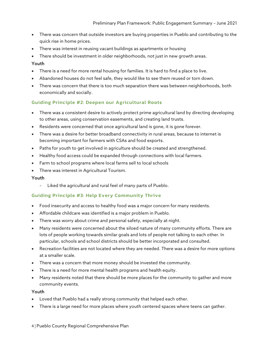- There was concern that outside investors are buying properties in Pueblo and contributing to the quick rise in home prices.
- There was interest in reusing vacant buildings as apartments or housing
- There should be investment in older neighborhoods, not just in new growth areas.

# Youth

- There is a need for more rental housing for families. It is hard to find a place to live.
- Abandoned houses do not feel safe, they would like to see them reused or torn down.
- There was concern that there is too much separation there was between neighborhoods, both economically and socially.

# Guiding Principle #2: Deepen our Agricultural Roots

- There was a consistent desire to actively protect prime agricultural land by directing developing to other areas, using conservation easements, and creating land trusts.
- Residents were concerned that once agricultural land is gone, it is gone forever.
- There was a desire for better broadband connectivity in rural areas, because to internet is becoming important for farmers with CSAs and food exports.
- Paths for youth to get involved in agriculture should be created and strengthened.
- Healthy food access could be expanded through connections with local farmers.
- Farm to school programs where local farms sell to local schools
- There was interest in Agricultural Tourism.

## Youth

- Liked the agricultural and rural feel of many parts of Pueblo.

## Guiding Principle #3: Help Every Community Thrive

- Food insecurity and access to healthy food was a major concern for many residents.
- Affordable childcare was identified is a major problem in Pueblo.
- There was worry about crime and personal safety, especially at night.
- Many residents were concerned about the siloed nature of many community efforts. There are lots of people working towards similar goals and lots of people not talking to each other. In particular, schools and school districts should be better incorporated and consulted.
- Recreation facilities are not located where they are needed. There was a desire for more options at a smaller scale.
- There was a concern that more money should be invested the community.
- There is a need for more mental health programs and health equity.
- Many residents noted that there should be more places for the community to gather and more community events.

#### Youth

- Loved that Pueblo had a really strong community that helped each other.
- There is a large need for more places where youth centered spaces where teens can gather.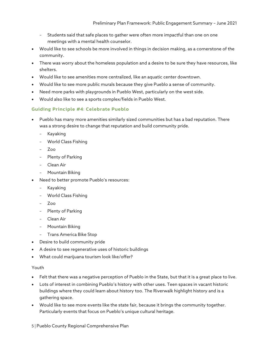- Students said that safe places to gather were often more impactful than one on one meetings with a mental health counselor.
- Would like to see schools be more involved in things in decision making, as a cornerstone of the community.
- There was worry about the homeless population and a desire to be sure they have resources, like shelters.
- Would like to see amenities more centralized, like an aquatic center downtown.
- Would like to see more public murals because they give Pueblo a sense of community.
- Need more parks with playgrounds in Pueblo West, particularly on the west side.
- Would also like to see a sports complex/fields in Pueblo West.

#### Guiding Principle #4: Celebrate Pueblo

- Pueblo has many more amenities similarly sized communities but has a bad reputation. There was a strong desire to change that reputation and build community pride.
	- Kayaking
	- World Class Fishing
	- Zoo
	- Plenty of Parking
	- Clean Air
	- Mountain Biking
- Need to better promote Pueblo's resources:
	- Kayaking
	- World Class Fishing
	- Zoo
	- Plenty of Parking
	- Clean Air
	- Mountain Biking
	- Trans America Bike Stop
- Desire to build community pride
- A desire to see regenerative uses of historic buildings
- What could marijuana tourism look like/offer?

#### Youth

- Felt that there was a negative perception of Pueblo in the State, but that it is a great place to live.
- Lots of interest in combining Pueblo's history with other uses. Teen spaces in vacant historic buildings where they could learn about history too. The Riverwalk highlight history and is a gathering space.
- Would like to see more events like the state fair, because it brings the community together. Particularly events that focus on Pueblo's unique cultural heritage.

5 | Pueblo County Regional Comprehensive Plan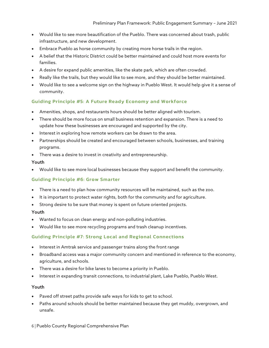- Would like to see more beautification of the Pueblo. There was concerned about trash, public infrastructure, and new development.
- Embrace Pueblo as horse community by creating more horse trails in the region.
- A belief that the Historic District could be better maintained and could host more events for families.
- A desire for expand public amenities, like the skate park, which are often crowded.
- Really like the trails, but they would like to see more, and they should be better maintained.
- Would like to see a welcome sign on the highway in Pueblo West. It would help give it a sense of community.

# Guiding Principle #5: A Future Ready Economy and Workforce

- Amenities, shops, and restaurants hours should be better aligned with tourism.
- There should be more focus on small business retention and expansion. There is a need to update how these businesses are encouraged and supported by the city.
- Interest in exploring how remote workers can be drawn to the area.
- Partnerships should be created and encouraged between schools, businesses, and training programs.
- There was a desire to invest in creativity and entrepreneurship.

#### Youth

• Would like to see more local businesses because they support and benefit the community.

## Guiding Principle #6: Grow Smarter

- There is a need to plan how community resources will be maintained, such as the zoo.
- It is important to protect water rights, both for the community and for agriculture.
- Strong desire to be sure that money is spent on future oriented projects.

#### Youth

- Wanted to focus on clean energy and non-polluting industries.
- Would like to see more recycling programs and trash cleanup incentives.

## Guiding Principle #7: Strong Local and Regional Connections

- Interest in Amtrak service and passenger trains along the front range
- Broadband access was a major community concern and mentioned in reference to the economy, agriculture, and schools.
- There was a desire for bike lanes to become a priority in Pueblo.
- Interest in expanding transit connections, to industrial plant, Lake Pueblo, Pueblo West.

#### Youth

- Paved off street paths provide safe ways for kids to get to school.
- Paths around schools should be better maintained because they get muddy, overgrown, and unsafe.

#### 6 | Pueblo County Regional Comprehensive Plan